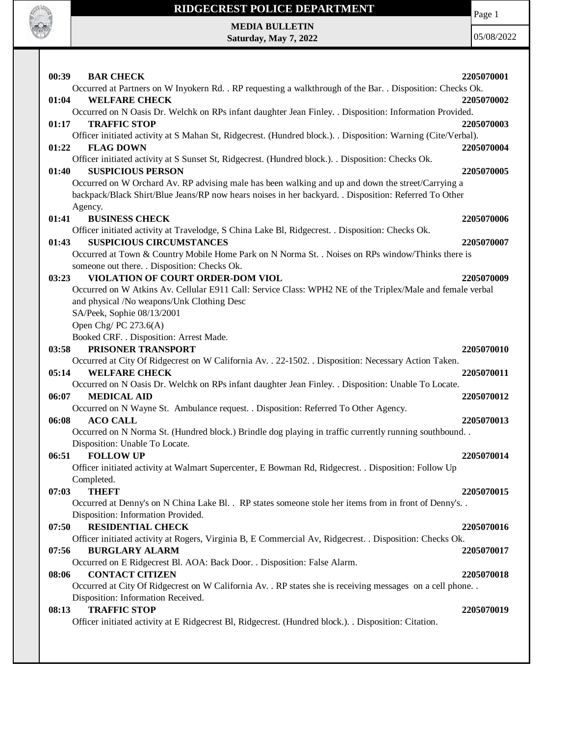

## **RIDGECREST POLICE DEPARTMENT MEDIA BULLETIN**

**Saturday, May 7, 2022**

Page 1

| 00:39 | <b>BAR CHECK</b>                                                                                                                       | 2205070001 |
|-------|----------------------------------------------------------------------------------------------------------------------------------------|------------|
|       | Occurred at Partners on W Inyokern Rd. . RP requesting a walkthrough of the Bar. . Disposition: Checks Ok.                             |            |
| 01:04 | <b>WELFARE CHECK</b>                                                                                                                   | 2205070002 |
| 01:17 | Occurred on N Oasis Dr. Welchk on RPs infant daughter Jean Finley. . Disposition: Information Provided.<br><b>TRAFFIC STOP</b>         | 2205070003 |
|       | Officer initiated activity at S Mahan St, Ridgecrest. (Hundred block.). . Disposition: Warning (Cite/Verbal).                          |            |
| 01:22 | <b>FLAG DOWN</b>                                                                                                                       | 2205070004 |
|       | Officer initiated activity at S Sunset St, Ridgecrest. (Hundred block.). . Disposition: Checks Ok.                                     |            |
| 01:40 | <b>SUSPICIOUS PERSON</b>                                                                                                               | 2205070005 |
|       | Occurred on W Orchard Av. RP advising male has been walking and up and down the street/Carrying a                                      |            |
|       | backpack/Black Shirt/Blue Jeans/RP now hears noises in her backyard. . Disposition: Referred To Other                                  |            |
|       | Agency.                                                                                                                                |            |
| 01:41 | <b>BUSINESS CHECK</b>                                                                                                                  | 2205070006 |
|       | Officer initiated activity at Travelodge, S China Lake Bl, Ridgecrest. . Disposition: Checks Ok.                                       |            |
| 01:43 | <b>SUSPICIOUS CIRCUMSTANCES</b>                                                                                                        | 2205070007 |
|       | Occurred at Town & Country Mobile Home Park on N Norma St. . Noises on RPs window/Thinks there is                                      |            |
|       | someone out there. . Disposition: Checks Ok.                                                                                           |            |
| 03:23 | VIOLATION OF COURT ORDER-DOM VIOL                                                                                                      | 2205070009 |
|       | Occurred on W Atkins Av. Cellular E911 Call: Service Class: WPH2 NE of the Triplex/Male and female verbal                              |            |
|       | and physical /No weapons/Unk Clothing Desc                                                                                             |            |
|       | SA/Peek, Sophie 08/13/2001                                                                                                             |            |
|       | Open Chg/PC $273.6(A)$                                                                                                                 |            |
|       | Booked CRF. . Disposition: Arrest Made.                                                                                                |            |
| 03:58 | PRISONER TRANSPORT                                                                                                                     | 2205070010 |
|       | Occurred at City Of Ridgecrest on W California Av. . 22-1502. . Disposition: Necessary Action Taken.                                   |            |
| 05:14 | <b>WELFARE CHECK</b>                                                                                                                   | 2205070011 |
|       | Occurred on N Oasis Dr. Welchk on RPs infant daughter Jean Finley. . Disposition: Unable To Locate.                                    |            |
| 06:07 | <b>MEDICAL AID</b>                                                                                                                     | 2205070012 |
|       | Occurred on N Wayne St. Ambulance request. . Disposition: Referred To Other Agency.                                                    |            |
| 06:08 | <b>ACO CALL</b>                                                                                                                        | 2205070013 |
|       | Occurred on N Norma St. (Hundred block.) Brindle dog playing in traffic currently running southbound<br>Disposition: Unable To Locate. |            |
| 06:51 | <b>FOLLOW UP</b>                                                                                                                       | 2205070014 |
|       | Officer initiated activity at Walmart Supercenter, E Bowman Rd, Ridgecrest. . Disposition: Follow Up                                   |            |
|       | Completed.                                                                                                                             |            |
| 07:03 | <b>THEFT</b>                                                                                                                           | 2205070015 |
|       | Occurred at Denny's on N China Lake Bl. . RP states someone stole her items from in front of Denny's. .                                |            |
|       | Disposition: Information Provided.                                                                                                     |            |
| 07:50 | <b>RESIDENTIAL CHECK</b>                                                                                                               | 2205070016 |
|       | Officer initiated activity at Rogers, Virginia B, E Commercial Av, Ridgecrest. . Disposition: Checks Ok.                               |            |
| 07:56 | <b>BURGLARY ALARM</b>                                                                                                                  | 2205070017 |
|       | Occurred on E Ridgecrest Bl. AOA: Back Door. . Disposition: False Alarm.                                                               |            |
| 08:06 | <b>CONTACT CITIZEN</b>                                                                                                                 | 2205070018 |
|       | Occurred at City Of Ridgecrest on W California Av. . RP states she is receiving messages on a cell phone. .                            |            |
|       | Disposition: Information Received.                                                                                                     |            |
| 08:13 | <b>TRAFFIC STOP</b>                                                                                                                    | 2205070019 |
|       | Officer initiated activity at E Ridgecrest Bl, Ridgecrest. (Hundred block.). . Disposition: Citation.                                  |            |
|       |                                                                                                                                        |            |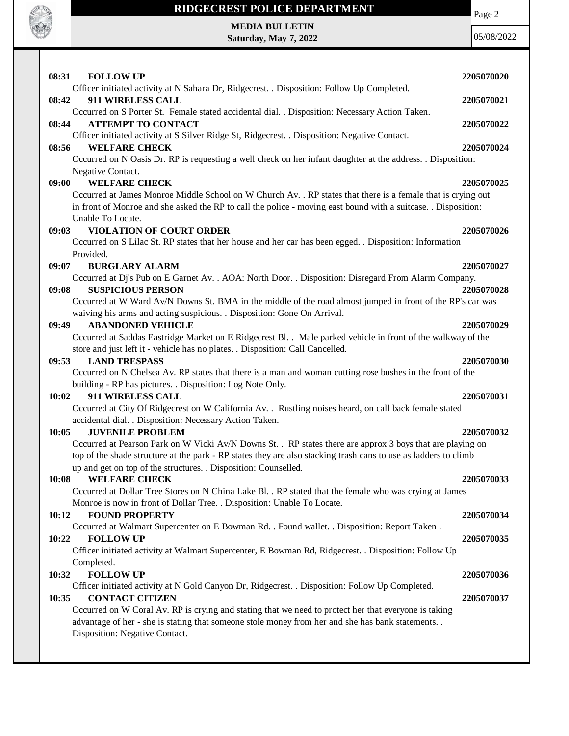

## **RIDGECREST POLICE DEPARTMENT**

Page 2

**MEDIA BULLETIN Saturday, May 7, 2022**

| 08:31<br><b>FOLLOW UP</b>                                                                                                           | 2205070020 |
|-------------------------------------------------------------------------------------------------------------------------------------|------------|
| Officer initiated activity at N Sahara Dr, Ridgecrest. . Disposition: Follow Up Completed.                                          |            |
| 911 WIRELESS CALL<br>08:42                                                                                                          | 2205070021 |
| Occurred on S Porter St. Female stated accidental dial. . Disposition: Necessary Action Taken.                                      |            |
| 08:44<br><b>ATTEMPT TO CONTACT</b>                                                                                                  | 2205070022 |
| Officer initiated activity at S Silver Ridge St, Ridgecrest. . Disposition: Negative Contact.                                       |            |
| 08:56<br><b>WELFARE CHECK</b>                                                                                                       | 2205070024 |
| Occurred on N Oasis Dr. RP is requesting a well check on her infant daughter at the address. . Disposition:                         |            |
| Negative Contact.                                                                                                                   |            |
| <b>WELFARE CHECK</b><br>09:00                                                                                                       | 2205070025 |
| Occurred at James Monroe Middle School on W Church Av. . RP states that there is a female that is crying out                        |            |
| in front of Monroe and she asked the RP to call the police - moving east bound with a suitcase. . Disposition:<br>Unable To Locate. |            |
| <b>VIOLATION OF COURT ORDER</b><br>09:03                                                                                            | 2205070026 |
| Occurred on S Lilac St. RP states that her house and her car has been egged. . Disposition: Information                             |            |
| Provided.                                                                                                                           |            |
| <b>BURGLARY ALARM</b><br>09:07                                                                                                      | 2205070027 |
| Occurred at Dj's Pub on E Garnet Av. . AOA: North Door. . Disposition: Disregard From Alarm Company.                                |            |
| 09:08<br><b>SUSPICIOUS PERSON</b>                                                                                                   | 2205070028 |
| Occurred at W Ward Av/N Downs St. BMA in the middle of the road almost jumped in front of the RP's car was                          |            |
| waiving his arms and acting suspicious. . Disposition: Gone On Arrival.                                                             |            |
| <b>ABANDONED VEHICLE</b><br>09:49                                                                                                   | 2205070029 |
| Occurred at Saddas Eastridge Market on E Ridgecrest Bl. . Male parked vehicle in front of the walkway of the                        |            |
| store and just left it - vehicle has no plates. . Disposition: Call Cancelled.                                                      |            |
| 09:53<br><b>LAND TRESPASS</b>                                                                                                       | 2205070030 |
| Occurred on N Chelsea Av. RP states that there is a man and woman cutting rose bushes in the front of the                           |            |
| building - RP has pictures. . Disposition: Log Note Only.                                                                           |            |
| 10:02<br>911 WIRELESS CALL                                                                                                          | 2205070031 |
| Occurred at City Of Ridgecrest on W California Av. . Rustling noises heard, on call back female stated                              |            |
| accidental dial. . Disposition: Necessary Action Taken.                                                                             |            |
| <b>JUVENILE PROBLEM</b><br>10:05                                                                                                    | 2205070032 |
| Occurred at Pearson Park on W Vicki Av/N Downs St. . RP states there are approx 3 boys that are playing on                          |            |
| top of the shade structure at the park - RP states they are also stacking trash cans to use as ladders to climb                     |            |
| up and get on top of the structures. . Disposition: Counselled.                                                                     |            |
| 10:08<br><b>WELFARE CHECK</b>                                                                                                       | 2205070033 |
| Occurred at Dollar Tree Stores on N China Lake Bl. . RP stated that the female who was crying at James                              |            |
| Monroe is now in front of Dollar Tree. . Disposition: Unable To Locate.                                                             |            |
| 10:12<br><b>FOUND PROPERTY</b>                                                                                                      | 2205070034 |
| Occurred at Walmart Supercenter on E Bowman Rd. . Found wallet. . Disposition: Report Taken.                                        |            |
| <b>FOLLOW UP</b><br>10:22                                                                                                           | 2205070035 |
| Officer initiated activity at Walmart Supercenter, E Bowman Rd, Ridgecrest. . Disposition: Follow Up                                |            |
| Completed.                                                                                                                          |            |
| <b>FOLLOW UP</b><br>10:32                                                                                                           | 2205070036 |
| Officer initiated activity at N Gold Canyon Dr, Ridgecrest. . Disposition: Follow Up Completed.                                     |            |
| <b>CONTACT CITIZEN</b><br>10:35                                                                                                     | 2205070037 |
| Occurred on W Coral Av. RP is crying and stating that we need to protect her that everyone is taking                                |            |
| advantage of her - she is stating that someone stole money from her and she has bank statements. .                                  |            |
| Disposition: Negative Contact.                                                                                                      |            |
|                                                                                                                                     |            |
|                                                                                                                                     |            |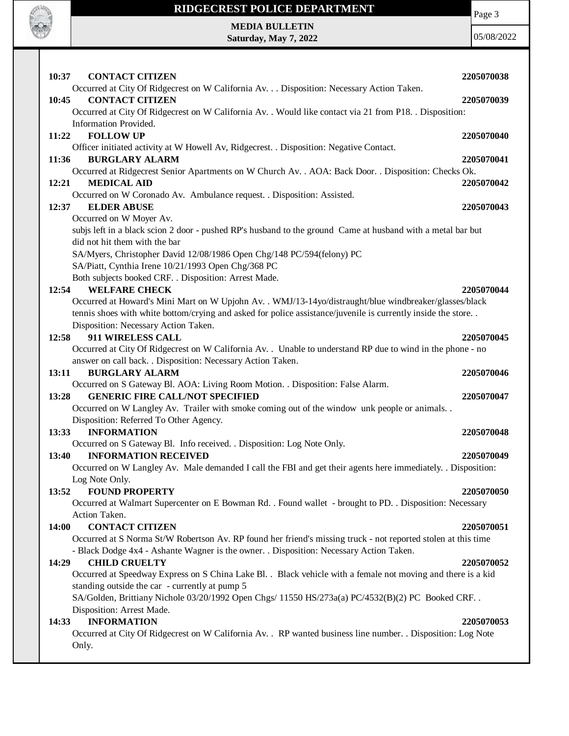

## **RIDGECREST POLICE DEPARTMENT**

Page 3

**MEDIA BULLETIN Saturday, May 7, 2022**

| 10:37<br><b>CONTACT CITIZEN</b>                                                                                                     | 2205070038 |
|-------------------------------------------------------------------------------------------------------------------------------------|------------|
| Occurred at City Of Ridgecrest on W California Av. Disposition: Necessary Action Taken.                                             |            |
| <b>CONTACT CITIZEN</b><br>10:45                                                                                                     | 2205070039 |
| Occurred at City Of Ridgecrest on W California Av. . Would like contact via 21 from P18. . Disposition:                             |            |
| Information Provided.                                                                                                               |            |
| <b>FOLLOW UP</b><br>11:22                                                                                                           | 2205070040 |
| Officer initiated activity at W Howell Av, Ridgecrest. . Disposition: Negative Contact.                                             |            |
| <b>BURGLARY ALARM</b><br>11:36                                                                                                      | 2205070041 |
| Occurred at Ridgecrest Senior Apartments on W Church Av. . AOA: Back Door. . Disposition: Checks Ok.<br>12:21<br><b>MEDICAL AID</b> | 2205070042 |
| Occurred on W Coronado Av. Ambulance request. . Disposition: Assisted.                                                              |            |
| 12:37<br><b>ELDER ABUSE</b>                                                                                                         | 2205070043 |
| Occurred on W Moyer Av.                                                                                                             |            |
| subjs left in a black scion 2 door - pushed RP's husband to the ground Came at husband with a metal bar but                         |            |
| did not hit them with the bar                                                                                                       |            |
| SA/Myers, Christopher David 12/08/1986 Open Chg/148 PC/594(felony) PC                                                               |            |
| SA/Piatt, Cynthia Irene 10/21/1993 Open Chg/368 PC                                                                                  |            |
| Both subjects booked CRF. . Disposition: Arrest Made.                                                                               |            |
| 12:54<br><b>WELFARE CHECK</b>                                                                                                       | 2205070044 |
| Occurred at Howard's Mini Mart on W Upjohn Av. . WMJ/13-14yo/distraught/blue windbreaker/glasses/black                              |            |
| tennis shoes with white bottom/crying and asked for police assistance/juvenile is currently inside the store                        |            |
| Disposition: Necessary Action Taken.                                                                                                |            |
| 911 WIRELESS CALL<br>12:58                                                                                                          | 2205070045 |
| Occurred at City Of Ridgecrest on W California Av. . Unable to understand RP due to wind in the phone - no                          |            |
| answer on call back. . Disposition: Necessary Action Taken.                                                                         |            |
| 13:11<br><b>BURGLARY ALARM</b>                                                                                                      | 2205070046 |
| Occurred on S Gateway Bl. AOA: Living Room Motion. . Disposition: False Alarm.                                                      |            |
| <b>GENERIC FIRE CALL/NOT SPECIFIED</b><br>13:28                                                                                     | 2205070047 |
| Occurred on W Langley Av. Trailer with smoke coming out of the window unk people or animals                                         |            |
| Disposition: Referred To Other Agency.                                                                                              |            |
| <b>INFORMATION</b><br>13:33                                                                                                         | 2205070048 |
| Occurred on S Gateway Bl. Info received. . Disposition: Log Note Only.                                                              |            |
| <b>INFORMATION RECEIVED</b><br>13:40                                                                                                | 2205070049 |
| Occurred on W Langley Av. Male demanded I call the FBI and get their agents here immediately. Disposition:                          |            |
| Log Note Only.                                                                                                                      |            |
| <b>FOUND PROPERTY</b><br>13:52                                                                                                      | 2205070050 |
| Occurred at Walmart Supercenter on E Bowman Rd. . Found wallet - brought to PD. . Disposition: Necessary                            |            |
| Action Taken.                                                                                                                       |            |
| <b>CONTACT CITIZEN</b><br>14:00                                                                                                     | 2205070051 |
| Occurred at S Norma St/W Robertson Av. RP found her friend's missing truck - not reported stolen at this time                       |            |
| - Black Dodge 4x4 - Ashante Wagner is the owner. . Disposition: Necessary Action Taken.                                             |            |
| <b>CHILD CRUELTY</b><br>14:29                                                                                                       | 2205070052 |
| Occurred at Speedway Express on S China Lake Bl. . Black vehicle with a female not moving and there is a kid                        |            |
| standing outside the car - currently at pump 5                                                                                      |            |
| SA/Golden, Brittiany Nichole 03/20/1992 Open Chgs/ 11550 HS/273a(a) PC/4532(B)(2) PC Booked CRF. .                                  |            |
| Disposition: Arrest Made.                                                                                                           |            |
| <b>INFORMATION</b><br>14:33                                                                                                         | 2205070053 |
| Occurred at City Of Ridgecrest on W California Av. . RP wanted business line number. . Disposition: Log Note                        |            |
| Only.                                                                                                                               |            |
|                                                                                                                                     |            |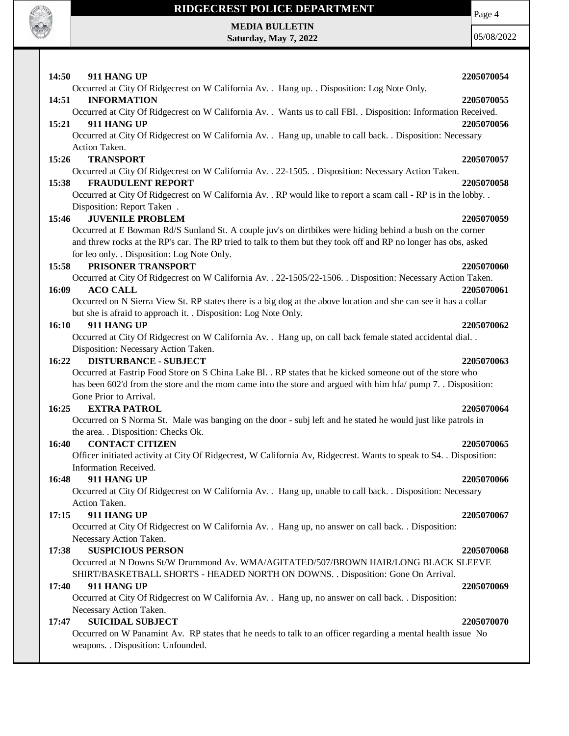

**RADIO DE LA CARDIO** 

**Saturday, May 7, 2022**

05/08/2022

Page 4

| 14:50<br>911 HANG UP                                                                                                | 2205070054 |
|---------------------------------------------------------------------------------------------------------------------|------------|
| Occurred at City Of Ridgecrest on W California Av. . Hang up. . Disposition: Log Note Only.                         |            |
| <b>INFORMATION</b><br>14:51                                                                                         | 2205070055 |
| Occurred at City Of Ridgecrest on W California Av. . Wants us to call FBI. . Disposition: Information Received.     |            |
| 15:21<br>911 HANG UP                                                                                                | 2205070056 |
| Occurred at City Of Ridgecrest on W California Av. . Hang up, unable to call back. . Disposition: Necessary         |            |
| Action Taken.                                                                                                       |            |
| <b>TRANSPORT</b><br>15:26                                                                                           | 2205070057 |
| Occurred at City Of Ridgecrest on W California Av. . 22-1505. . Disposition: Necessary Action Taken.                |            |
| <b>FRAUDULENT REPORT</b><br>15:38                                                                                   | 2205070058 |
| Occurred at City Of Ridgecrest on W California Av. . RP would like to report a scam call - RP is in the lobby. .    |            |
| Disposition: Report Taken.                                                                                          |            |
| <b>JUVENILE PROBLEM</b><br>15:46                                                                                    | 2205070059 |
| Occurred at E Bowman Rd/S Sunland St. A couple juv's on dirtbikes were hiding behind a bush on the corner           |            |
| and threw rocks at the RP's car. The RP tried to talk to them but they took off and RP no longer has obs, asked     |            |
| for leo only. . Disposition: Log Note Only.                                                                         |            |
| PRISONER TRANSPORT<br>15:58                                                                                         | 2205070060 |
| Occurred at City Of Ridgecrest on W California Av. . 22-1505/22-1506. . Disposition: Necessary Action Taken.        |            |
| 16:09<br><b>ACO CALL</b>                                                                                            | 2205070061 |
| Occurred on N Sierra View St. RP states there is a big dog at the above location and she can see it has a collar    |            |
| but she is afraid to approach it. . Disposition: Log Note Only.                                                     |            |
| 911 HANG UP<br><b>16:10</b>                                                                                         | 2205070062 |
| Occurred at City Of Ridgecrest on W California Av. . Hang up, on call back female stated accidental dial. .         |            |
| Disposition: Necessary Action Taken.                                                                                |            |
| 16:22<br><b>DISTURBANCE - SUBJECT</b>                                                                               | 2205070063 |
| Occurred at Fastrip Food Store on S China Lake Bl. . RP states that he kicked someone out of the store who          |            |
| has been 602'd from the store and the mom came into the store and argued with him hfa/ pump 7. Disposition:         |            |
| Gone Prior to Arrival.                                                                                              |            |
| 16:25<br><b>EXTRA PATROL</b>                                                                                        | 2205070064 |
| Occurred on S Norma St. Male was banging on the door - subj left and he stated he would just like patrols in        |            |
| the area. . Disposition: Checks Ok.                                                                                 |            |
| <b>CONTACT CITIZEN</b><br>16:40                                                                                     | 2205070065 |
| Officer initiated activity at City Of Ridgecrest, W California Av, Ridgecrest. Wants to speak to S4. . Disposition: |            |
| Information Received.                                                                                               |            |
| 16:48<br>911 HANG UP                                                                                                | 2205070066 |
| Occurred at City Of Ridgecrest on W California Av. . Hang up, unable to call back. . Disposition: Necessary         |            |
| Action Taken.                                                                                                       |            |
| 911 HANG UP<br>17:15                                                                                                | 2205070067 |
| Occurred at City Of Ridgecrest on W California Av. . Hang up, no answer on call back. . Disposition:                |            |
| Necessary Action Taken.                                                                                             |            |
| <b>SUSPICIOUS PERSON</b><br>17:38                                                                                   | 2205070068 |
| Occurred at N Downs St/W Drummond Av. WMA/AGITATED/507/BROWN HAIR/LONG BLACK SLEEVE                                 |            |
| SHIRT/BASKETBALL SHORTS - HEADED NORTH ON DOWNS. . Disposition: Gone On Arrival.                                    |            |
| 911 HANG UP<br>17:40                                                                                                | 2205070069 |
| Occurred at City Of Ridgecrest on W California Av. . Hang up, no answer on call back. . Disposition:                |            |
| Necessary Action Taken.                                                                                             |            |
| <b>SUICIDAL SUBJECT</b><br>17:47                                                                                    | 2205070070 |
| Occurred on W Panamint Av. RP states that he needs to talk to an officer regarding a mental health issue No         |            |
| weapons. . Disposition: Unfounded.                                                                                  |            |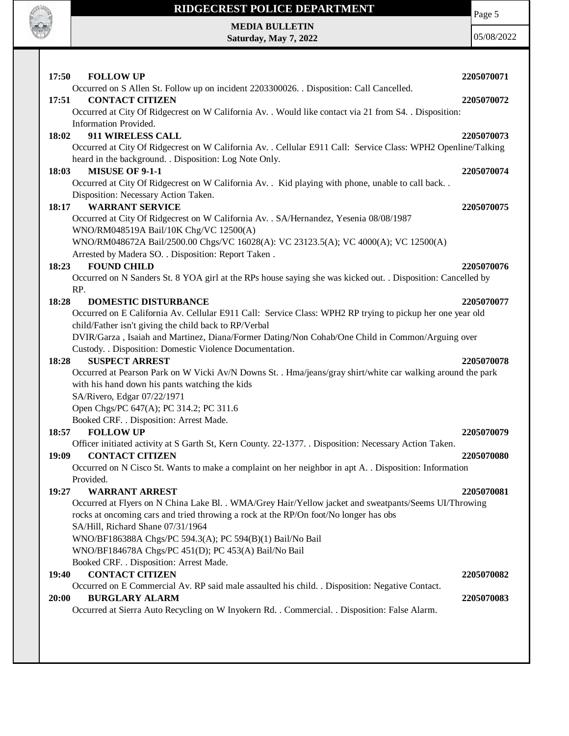